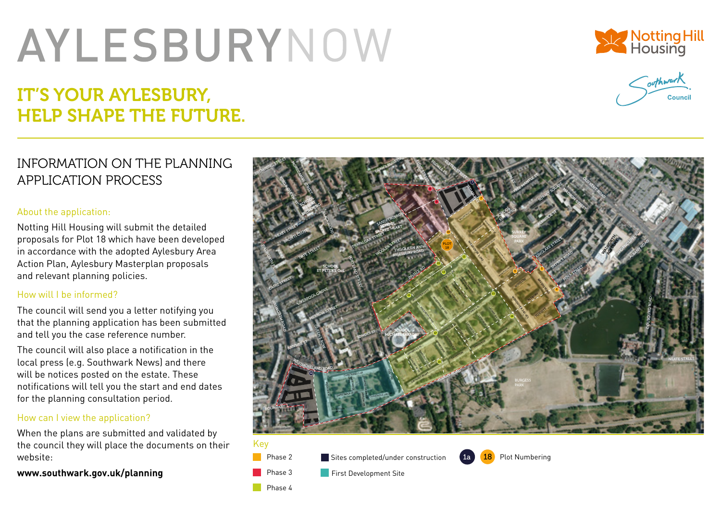# **AYLESBURYNOW**

## IT'S YOUR AYLESBURY, HELP SHAPE THE FUTURE.





### INFORMATION ON THE PLANNING APPLICATION PROCESS

#### About the application:

Notting Hill Housing will submit the detailed proposals for Plot 18 which have been developed in accordance with the adopted Aylesbury Area Action Plan, Aylesbury Masterplan proposals and relevant planning policies.

#### How will I be informed?

The council will send you a letter notifying you that the planning application has been submitted and tell you the case reference number.

The council will also place a notification in the local press (e.g. Southwark News) and there will be notices posted on the estate. These notifications will tell you the start and end dates for the planning consultation period.

#### How can I view the application?

When the plans are submitted and validated by the council they will place the documents on their website:

#### **www.southwark.gov.uk/planning**



#### Key Phase 2

Phase 3

 $\blacksquare$  Sites completed/under construction



First Development Site

Phase 4